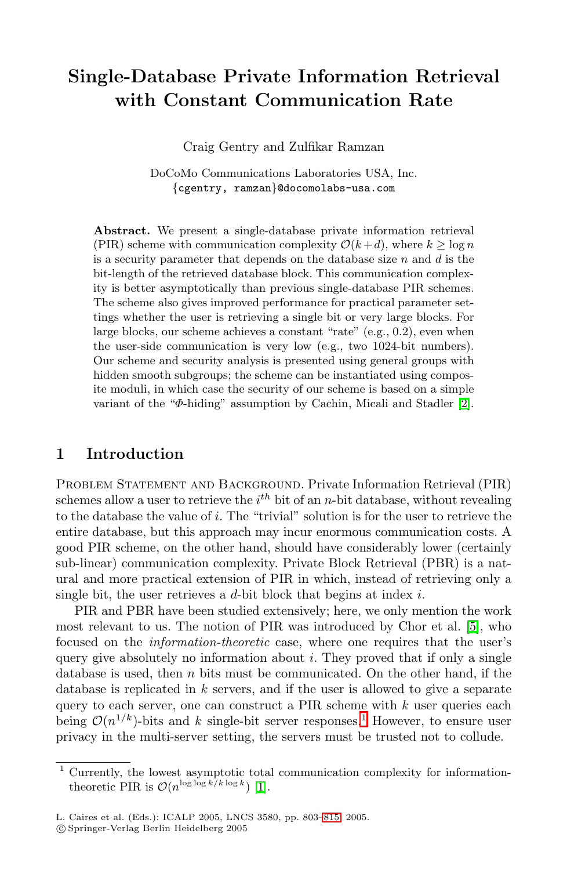# **Single-Database Private Information Retrieval with Constant Communication Rate**

Craig Gentry and Zulfikar Ramzan

DoCoMo Communications Laboratories USA, Inc. {cgentry, ramzan}@docomolabs-usa.com

**Abstract.** We present a single-database private information retrieval (PIR) scheme with communication complexity  $\mathcal{O}(k+d)$ , where  $k \geq \log n$ is a security parameter that depends on the database size  $n$  and  $d$  is the bit-length of the retrieved database block. This communication complexity is better asymptotically than previous single-database PIR schemes. The scheme also gives improved performance for practical parameter settings whether the user is retrieving a single bit or very large blocks. For large blocks, our scheme achieves a constant "rate" (e.g., 0.2), even when the user-side communication is very low (e.g., two 1024-bit numbers). Our scheme and security analysis is presented using general groups with hidden smooth subgroups; the scheme can be instantiated using composite moduli, in which case the security of our scheme is based on a simple variant of the "Φ-hiding" assumption by Cachin, Micali and Stadler [\[2\]](#page-11-0).

## **1 Introduction**

Problem Statement and Background. Private Information Retrieval (PIR) schemes allow a user to retrieve the  $i^{th}$  bit of an n-bit database, without revealing to the database the value of i. The "trivial" solution is for the user to retrieve the entire database, but this approach may incur enormous communication costs. A good PIR scheme, on the other hand, should have considerably lower (certainly sub-linear) communication complexity. Private Block Retrieval (PBR) is a natural and more practical extension of PIR in which, instead of retrieving only a single bit, the user retrieves a  $d$ -bit block that begins at index  $i$ .

PIR and PBR have been studied extensively; here, we only mention the work most relevant to us. The notion of PIR was introduced by Chor et al. [\[5\]](#page-11-1), who focused on the *information-theoretic* case, where one requires that the user's query give absolutely no information about  $i$ . They proved that if only a single database is used, then  $n$  bits must be communicated. On the other hand, if the database is replicated in  $k$  servers, and if the user is allowed to give a separate query to each server, one can construct a PIR scheme with  $k$  user queries each being  $\mathcal{O}(n^{1/k})$  $\mathcal{O}(n^{1/k})$  $\mathcal{O}(n^{1/k})$ -bits and k single-bit server responses.<sup>1</sup> However, to ensure user privacy in the multi-server setting, the servers must be trusted not to collude.

<span id="page-0-0"></span><sup>1</sup> Currently, the lowest asymptotic total communication complexity for informationtheoretic PIR is  $\mathcal{O}(n^{\log \log k/k \log k})$  [\[1\]](#page-11-2).

L. Caires et al. (Eds.): ICALP 2005, LNCS 3580, pp. 803[–815,](#page-12-0) 2005.

c Springer-Verlag Berlin Heidelberg 2005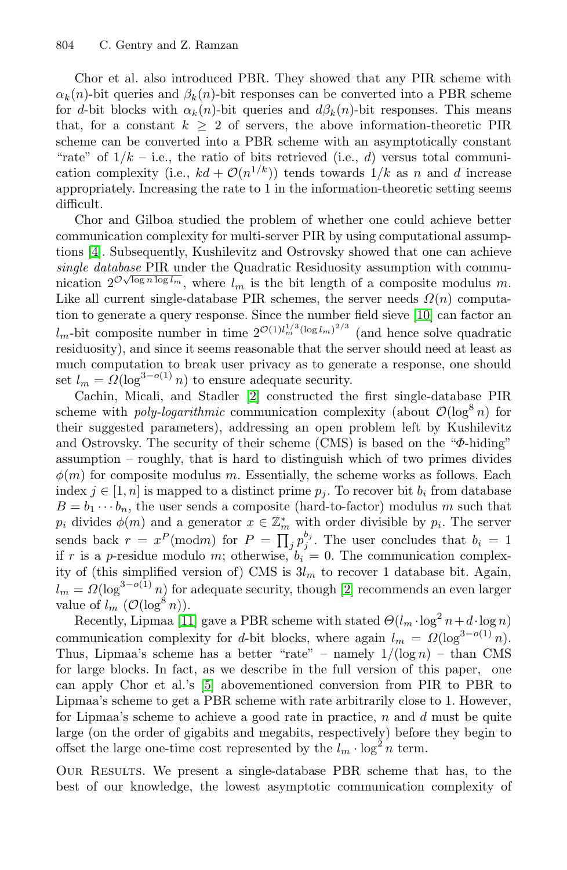Chor et al. also introduced PBR. They showed that any PIR scheme with  $\alpha_k(n)$ -bit queries and  $\beta_k(n)$ -bit responses can be converted into a PBR scheme for d-bit blocks with  $\alpha_k(n)$ -bit queries and  $d\beta_k(n)$ -bit responses. This means that, for a constant  $k \geq 2$  of servers, the above information-theoretic PIR scheme can be converted into a PBR scheme with an asymptotically constant "rate" of  $1/k$  – i.e., the ratio of bits retrieved (i.e., d) versus total communication complexity (i.e.,  $kd + \mathcal{O}(n^{1/k})$ ) tends towards  $1/k$  as n and d increase appropriately. Increasing the rate to 1 in the information-theoretic setting seems difficult.

Chor and Gilboa studied the problem of whether one could achieve better communication complexity for multi-server PIR by using computational assumptions [\[4\]](#page-11-3). Subsequently, Kushilevitz and Ostrovsky showed that one can achieve *single database* PIR under the Quadratic Residuosity assumption with communication  $2^{\mathcal{O}\sqrt{\log n \log l_m}}$ , where  $l_m$  is the bit length of a composite modulus m. Like all current single-database PIR schemes, the server needs  $\Omega(n)$  computation to generate a query response. Since the number field sieve [\[10\]](#page-11-4) can factor an  $l_m$ -bit composite number in time  $2^{\mathcal{O}(1)l_m^{1/3}(\log l_m)^{2/3}}$  (and hence solve quadratic residuosity), and since it seems reasonable that the server should need at least as much computation to break user privacy as to generate a response, one should set  $l_m = \Omega(\log^{3-o(1)} n)$  to ensure adequate security.

Cachin, Micali, and Stadler [\[2\]](#page-11-0) constructed the first single-database PIR scheme with *poly-logarithmic* communication complexity (about  $\mathcal{O}(\log^8 n)$  for their suggested parameters), addressing an open problem left by Kushilevitz and Ostrovsky. The security of their scheme (CMS) is based on the "Φ-hiding" assumption – roughly, that is hard to distinguish which of two primes divides  $\phi(m)$  for composite modulus m. Essentially, the scheme works as follows. Each index  $j \in [1, n]$  is mapped to a distinct prime  $p_j$ . To recover bit  $b_i$  from database  $B = b_1 \cdots b_n$ , the user sends a composite (hard-to-factor) modulus m such that  $p_i$  divides  $\phi(m)$  and a generator  $x \in \mathbb{Z}_m^*$  with order divisible by  $p_i$ . The server sends back  $r = x^P(\text{mod}m)$  for  $P = \prod_j p_j^{b_j}$ . The user concludes that  $b_i = 1$ if r is a p-residue modulo m; otherwise,  $b_i = 0$ . The communication complexity of (this simplified version of) CMS is  $3l_m$  to recover 1 database bit. Again,  $l_m = \Omega(\log^{3-o(1)} n)$  for adequate security, though [\[2\]](#page-11-0) recommends an even larger value of  $l_m$  ( $\mathcal{O}(\log^8 n)$ ).

Recently, Lipmaa [\[11\]](#page-12-1) gave a PBR scheme with stated  $\Theta(l_m \cdot \log^2 n + d \cdot \log n)$ communication complexity for d-bit blocks, where again  $l_m = \Omega(\log^{3-o(1)} n)$ . Thus, Lipmaa's scheme has a better "rate" – namely  $1/(\log n)$  – than CMS for large blocks. In fact, as we describe in the full version of this paper, one can apply Chor et al.'s [\[5\]](#page-11-1) abovementioned conversion from PIR to PBR to Lipmaa's scheme to get a PBR scheme with rate arbitrarily close to 1. However, for Lipmaa's scheme to achieve a good rate in practice,  $n$  and  $d$  must be quite large (on the order of gigabits and megabits, respectively) before they begin to offset the large one-time cost represented by the  $l_m \cdot \log^2 n$  term.

Our Results. We present a single-database PBR scheme that has, to the best of our knowledge, the lowest asymptotic communication complexity of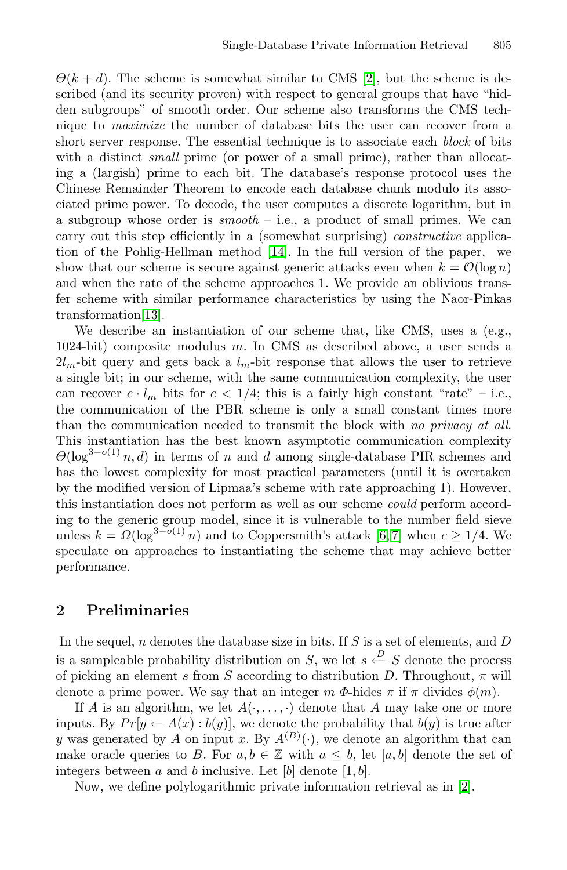$\Theta(k + d)$ . The scheme is somewhat similar to CMS [\[2\]](#page-11-0), but the scheme is described (and its security proven) with respect to general groups that have "hidden subgroups" of smooth order. Our scheme also transforms the CMS technique to *maximize* the number of database bits the user can recover from a short server response. The essential technique is to associate each *block* of bits with a distinct *small* prime (or power of a small prime), rather than allocating a (largish) prime to each bit. The database's response protocol uses the Chinese Remainder Theorem to encode each database chunk modulo its associated prime power. To decode, the user computes a discrete logarithm, but in a subgroup whose order is *smooth* – i.e., a product of small primes. We can carry out this step efficiently in a (somewhat surprising) *constructive* application of the Pohlig-Hellman method [\[14\]](#page-12-2). In the full version of the paper, we show that our scheme is secure against generic attacks even when  $k = \mathcal{O}(\log n)$ and when the rate of the scheme approaches 1. We provide an oblivious transfer scheme with similar performance characteristics by using the Naor-Pinkas transformation[\[13\]](#page-12-3).

We describe an instantiation of our scheme that, like CMS, uses a (e.g., 1024-bit) composite modulus m. In CMS as described above, a user sends a  $2l_m$ -bit query and gets back a  $l_m$ -bit response that allows the user to retrieve a single bit; in our scheme, with the same communication complexity, the user can recover  $c \cdot l_m$  bits for  $c < 1/4$ ; this is a fairly high constant "rate" – i.e., the communication of the PBR scheme is only a small constant times more than the communication needed to transmit the block with *no privacy at all*. This instantiation has the best known asymptotic communication complexity  $\Theta(\log^{3-o(1)} n, d)$  in terms of n and d among single-database PIR schemes and has the lowest complexity for most practical parameters (until it is overtaken by the modified version of Lipmaa's scheme with rate approaching 1). However, this instantiation does not perform as well as our scheme *could* perform according to the generic group model, since it is vulnerable to the number field sieve unless  $k = \Omega(\log^{3-o(1)} n)$  and to Coppersmith's attack [\[6,](#page-11-5)7] when  $c \ge 1/4$ . We speculate on approaches to instantiating the scheme that may achieve better performance.

#### **2 Preliminaries**

In the sequel, n denotes the database size in bits. If  $S$  is a set of elements, and  $D$ is a sampleable probability distribution on S, we let  $s \stackrel{D}{\leftarrow} S$  denote the process of picking an element s from S according to distribution D. Throughout,  $\pi$  will denote a prime power. We say that an integer  $m \Phi$ -hides  $\pi$  if  $\pi$  divides  $\phi(m)$ .

If A is an algorithm, we let  $A(\cdot,\ldots,\cdot)$  denote that A may take one or more inputs. By  $Pr[y \leftarrow A(x) : b(y)]$ , we denote the probability that  $b(y)$  is true after y was generated by A on input x. By  $A^{(B)}(\cdot)$ , we denote an algorithm that can make oracle queries to B. For  $a, b \in \mathbb{Z}$  with  $a \leq b$ , let  $[a, b]$  denote the set of integers between a and b inclusive. Let  $[b]$  denote  $[1, b]$ .

Now, we define polylogarithmic private information retrieval as in [\[2\]](#page-11-0).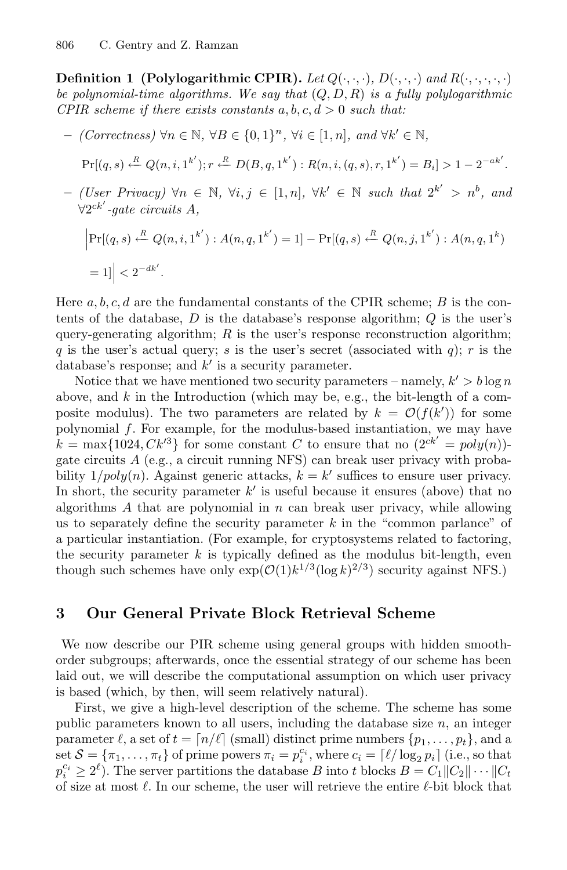**Definition 1 (Polylogarithmic CPIR).** Let  $Q(\cdot, \cdot, \cdot)$ ,  $D(\cdot, \cdot, \cdot)$  and  $R(\cdot, \cdot, \cdot, \cdot, \cdot)$ *be polynomial-time algorithms. We say that* (Q, D, R) *is a fully polylogarithmic CPIR scheme if there exists constants*  $a, b, c, d > 0$  *such that:* 

- $\forall n \in \mathbb{N}, \forall B \in \{0, 1\}^n, \forall i \in [1, n], \text{ and } \forall k' \in \mathbb{N},$  $Pr[(q, s) \stackrel{R}{\leftarrow} Q(n, i, 1^{k'}); r \stackrel{R}{\leftarrow} D(B, q, 1^{k'}) : R(n, i, (q, s), r, 1^{k'}) = B_i] > 1 - 2^{-ak'}.$
- $-$  *(User Privacy)*  $\forall n \in \mathbb{N}, \forall i, j \in [1, n], \forall k' \in \mathbb{N}$  such that  $2^{k'} > n^b$ , and ∀2ck *-gate circuits* A*,*

$$
\left| \Pr[(q, s) \stackrel{R}{\leftarrow} Q(n, i, 1^{k'}) : A(n, q, 1^{k'}) = 1] - \Pr[(q, s) \stackrel{R}{\leftarrow} Q(n, j, 1^{k'}) : A(n, q, 1^{k'}) = 1] \right| < 2^{-dk'}.
$$

Here a, b, c, d are the fundamental constants of the CPIR scheme; B is the contents of the database,  $D$  is the database's response algorithm;  $Q$  is the user's query-generating algorithm;  $R$  is the user's response reconstruction algorithm; q is the user's actual query; s is the user's secret (associated with q); r is the database's response; and  $k'$  is a security parameter.

Notice that we have mentioned two security parameters – namely,  $k' > b \log n$ above, and  $k$  in the Introduction (which may be, e.g., the bit-length of a composite modulus). The two parameters are related by  $k = \mathcal{O}(f(k'))$  for some polynomial f. For example, for the modulus-based instantiation, we may have  $k = \max\{1024, C k^{\prime 3}\}\$ for some constant C to ensure that no  $(2^{ck'} = poly(n))$ gate circuits A (e.g., a circuit running NFS) can break user privacy with probability  $1/poly(n)$ . Against generic attacks,  $k = k'$  suffices to ensure user privacy. In short, the security parameter  $k'$  is useful because it ensures (above) that no algorithms  $A$  that are polynomial in  $n$  can break user privacy, while allowing us to separately define the security parameter  $k$  in the "common parlance" of a particular instantiation. (For example, for cryptosystems related to factoring, the security parameter  $k$  is typically defined as the modulus bit-length, even though such schemes have only  $\exp(\mathcal{O}(1)k^{1/3}(\log k)^{2/3})$  security against NFS.)

## **3 Our General Private Block Retrieval Scheme**

We now describe our PIR scheme using general groups with hidden smoothorder subgroups; afterwards, once the essential strategy of our scheme has been laid out, we will describe the computational assumption on which user privacy is based (which, by then, will seem relatively natural).

First, we give a high-level description of the scheme. The scheme has some public parameters known to all users, including the database size  $n$ , an integer parameter  $\ell$ , a set of  $t = \lfloor n/\ell \rfloor$  (small) distinct prime numbers  $\{p_1, \ldots, p_t\}$ , and a set  $S = \{\pi_1, \ldots, \pi_t\}$  of prime powers  $\pi_i = p_i^{c_i}$ , where  $c_i = \lceil \ell / \log_2 p_i \rceil$  (i.e., so that  $p_i^{c_i} \geq 2^{\ell}$ ). The server partitions the database B into t blocks  $B = C_1 || C_2 || \cdots || C_t$ of size at most  $\ell$ . In our scheme, the user will retrieve the entire  $\ell$ -bit block that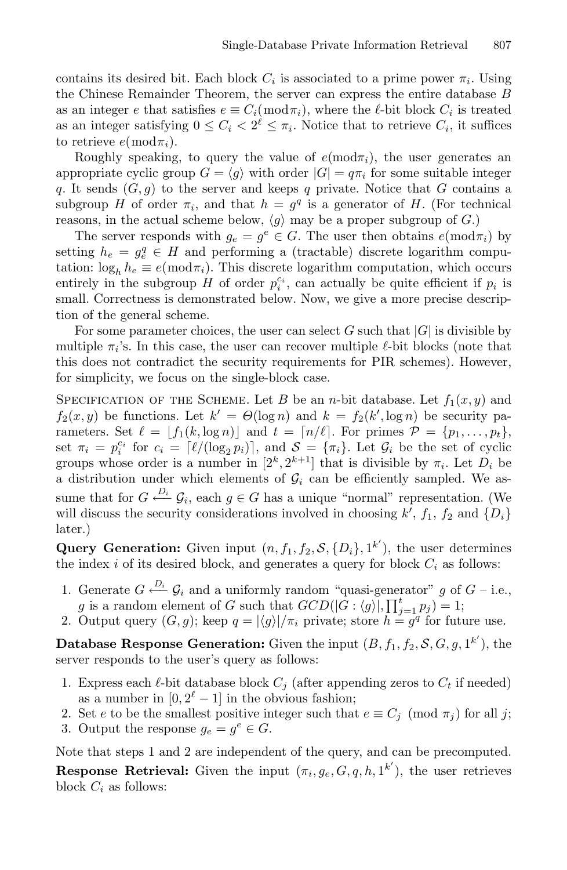contains its desired bit. Each block  $C_i$  is associated to a prime power  $\pi_i$ . Using the Chinese Remainder Theorem, the server can express the entire database B as an integer e that satisfies  $e \equiv C_i(\text{mod } \pi_i)$ , where the  $\ell$ -bit block  $C_i$  is treated as an integer satisfying  $0 \leq C_i < 2^{\ell} \leq \pi_i$ . Notice that to retrieve  $C_i$ , it suffices to retrieve  $e(\bmod \pi_i)$ .

Roughly speaking, to query the value of  $e(\text{mod}\pi_i)$ , the user generates an appropriate cyclic group  $G = \langle g \rangle$  with order  $|G| = q\pi_i$  for some suitable integer q. It sends  $(G, g)$  to the server and keeps q private. Notice that G contains a subgroup H of order  $\pi_i$ , and that  $h = g^q$  is a generator of H. (For technical reasons, in the actual scheme below,  $\langle g \rangle$  may be a proper subgroup of G.)

The server responds with  $g_e = g^e \in G$ . The user then obtains  $e(\text{mod } \pi_i)$  by setting  $h_e = g_e^q \in H$  and performing a (tractable) discrete logarithm computation:  $\log_h h_e \equiv e(\bmod \pi_i)$ . This discrete logarithm computation, which occurs entirely in the subgroup  $H$  of order  $p_i^{c_i}$ , can actually be quite efficient if  $p_i$  is small. Correctness is demonstrated below. Now, we give a more precise description of the general scheme.

For some parameter choices, the user can select G such that  $|G|$  is divisible by multiple  $\pi_i$ 's. In this case, the user can recover multiple  $\ell$ -bit blocks (note that this does not contradict the security requirements for PIR schemes). However, for simplicity, we focus on the single-block case.

SPECIFICATION OF THE SCHEME. Let B be an n-bit database. Let  $f_1(x, y)$  and  $f_2(x, y)$  be functions. Let  $k' = \Theta(\log n)$  and  $k = f_2(k', \log n)$  be security parameters. Set  $\ell = |f_1(k, \log n)|$  and  $t = \lceil n/\ell \rceil$ . For primes  $\mathcal{P} = \{p_1, \ldots, p_t\},\$ set  $\pi_i = p_i^{c_i}$  for  $c_i = \lceil \ell / (\log_2 p_i) \rceil$ , and  $\mathcal{S} = {\pi_i}$ . Let  $\mathcal{G}_i$  be the set of cyclic groups whose order is a number in  $[2^k, 2^{k+1}]$  that is divisible by  $\pi_i$ . Let  $D_i$  be a distribution under which elements of  $\mathcal{G}_i$  can be efficiently sampled. We assume that for  $G \stackrel{D_i}{\longleftarrow} \mathcal{G}_i$ , each  $g \in G$  has a unique "normal" representation. (We will discuss the security considerations involved in choosing  $k'$ ,  $f_1$ ,  $f_2$  and  $\{D_i\}$ later.)

**Query Generation:** Given input  $(n, f_1, f_2, S, \{D_i\}, 1^{k'})$ , the user determines the index  $i$  of its desired block, and generates a query for block  $C_i$  as follows:

- 1. Generate  $G \stackrel{D_i}{\longleftarrow} \mathcal{G}_i$  and a uniformly random "quasi-generator" g of  $G$  i.e., g is a random element of G such that  $GCD(|G: \langle g \rangle|, \prod_{j=1}^t p_j) = 1;$
- 2. Output query  $(G, g)$ ; keep  $q = |\langle g \rangle| / \pi_i$  private; store  $h = g^q$  for future use.

**Database Response Generation:** Given the input  $(B, f_1, f_2, \mathcal{S}, G, g, 1^{k'}),$  the server responds to the user's query as follows:

- 1. Express each  $\ell$ -bit database block  $C_j$  (after appending zeros to  $C_t$  if needed) as a number in  $[0, 2^{\ell} - 1]$  in the obvious fashion;
- 2. Set e to be the smallest positive integer such that  $e \equiv C_i \pmod{\pi_i}$  for all j;
- 3. Output the response  $g_e = g^e \in G$ .

Note that steps 1 and 2 are independent of the query, and can be precomputed. **Response Retrieval:** Given the input  $(\pi_i, g_e, G, q, h, 1^{k'})$ , the user retrieves block  $C_i$  as follows: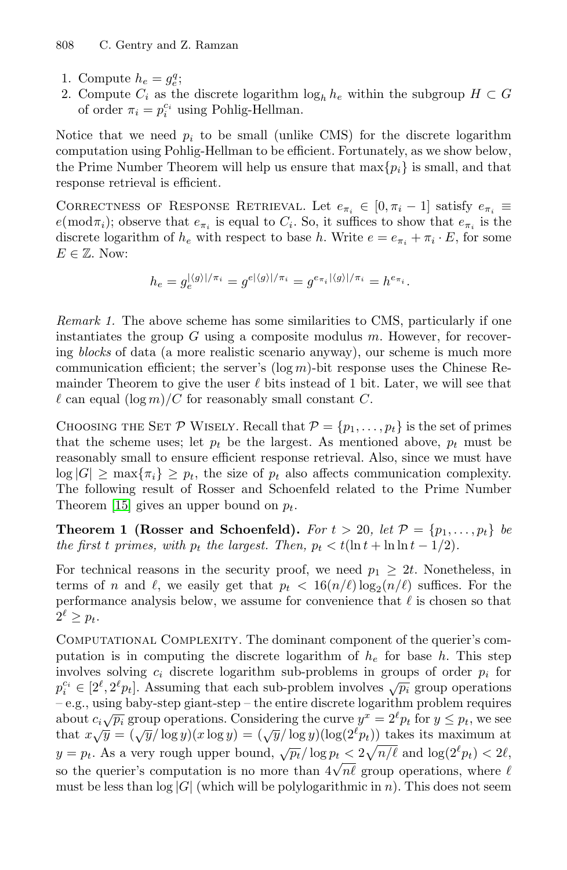- 1. Compute  $h_e = g_e^q$ ;
- 2. Compute  $C_i$  as the discrete logarithm  $\log_b h_e$  within the subgroup  $H \subset G$ of order  $\pi_i = p_i^{c_i}$  using Pohlig-Hellman.

Notice that we need  $p_i$  to be small (unlike CMS) for the discrete logarithm computation using Pohlig-Hellman to be efficient. Fortunately, as we show below, the Prime Number Theorem will help us ensure that  $\max\{p_i\}$  is small, and that response retrieval is efficient.

CORRECTNESS OF RESPONSE RETRIEVAL. Let  $e_{\pi_i} \in [0, \pi_i - 1]$  satisfy  $e_{\pi_i} \equiv$  $e(\text{mod } \pi_i)$ ; observe that  $e_{\pi_i}$  is equal to  $C_i$ . So, it suffices to show that  $e_{\pi_i}$  is the discrete logarithm of  $h_e$  with respect to base h. Write  $e = e_{\pi_i} + \pi_i \cdot E$ , for some  $E \in \mathbb{Z}$ . Now:

$$
h_e = g_e^{|\langle g \rangle|/\pi_i} = g^{e|\langle g \rangle|/\pi_i} = g^{e_{\pi_i}|\langle g \rangle|/\pi_i} = h^{e_{\pi_i}}.
$$

*Remark 1.* The above scheme has some similarities to CMS, particularly if one instantiates the group  $G$  using a composite modulus  $m$ . However, for recovering *blocks* of data (a more realistic scenario anyway), our scheme is much more communication efficient; the server's  $(\log m)$ -bit response uses the Chinese Remainder Theorem to give the user  $\ell$  bits instead of 1 bit. Later, we will see that  $\ell$  can equal  $(\log m)/C$  for reasonably small constant C.

CHOOSING THE SET P WISELY. Recall that  $\mathcal{P} = \{p_1, \ldots, p_t\}$  is the set of primes that the scheme uses; let  $p_t$  be the largest. As mentioned above,  $p_t$  must be reasonably small to ensure efficient response retrieval. Also, since we must have  $\log |G| \ge \max\{\pi_i\} \ge p_t$ , the size of  $p_t$  also affects communication complexity. The following result of Rosser and Schoenfeld related to the Prime Number Theorem [\[15\]](#page-12-4) gives an upper bound on  $p_t$ .

**Theorem 1 (Rosser and Schoenfeld).** *For*  $t > 20$ *, let*  $P = \{p_1, \ldots, p_t\}$  *be the first t primes, with*  $p_t$  *the largest. Then,*  $p_t < t(\ln t + \ln \ln t - 1/2)$ *.* 

For technical reasons in the security proof, we need  $p_1 \geq 2t$ . Nonetheless, in terms of n and  $\ell$ , we easily get that  $p_t < 16(n/\ell) \log_2(n/\ell)$  suffices. For the performance analysis below, we assume for convenience that  $\ell$  is chosen so that  $2^{\ell} > p_t$ .

Computational Complexity. The dominant component of the querier's computation is in computing the discrete logarithm of  $h_e$  for base h. This step involves solving  $c_i$  discrete logarithm sub-problems in groups of order  $p_i$  for mvolves solving  $e_i$  discrete logarithm sub-problem involves  $\sqrt{p_i}$  group operations  $p_i^{c_i} \in [2^{\ell}, 2^{\ell}p_t]$ . Assuming that each sub-problem involves  $\sqrt{p_i}$  group operations – e.g., using baby-step giant-step – the entire discrete logarithm problem requires about  $c_i \sqrt{p_i}$  group operations. Considering the curve  $y^x = 2^{\ell} p_t$  for  $y \leq p_t$ , we see that  $x\sqrt{y} = (\sqrt{y}/\log y)(x \log y) = (\sqrt{y}/\log y)(\log(2^{\ell} p_t))$  takes its maximum at  $y = p_t$ . As a very rough upper bound,  $\sqrt{p_t}/\log p_t < 2\sqrt{n/\ell}$  and  $\log(2^{\ell}p_t) < 2\ell$ ,  $s = pt$ . As a very rough upper bound,  $\sqrt{pt}$   $\log pt \leq \sqrt{n}/c$  and  $\log(2pt) \leq 2c$ ,<br>so the querier's computation is no more than  $4\sqrt{nl}$  group operations, where  $\ell$ must be less than  $\log|G|$  (which will be polylogarithmic in n). This does not seem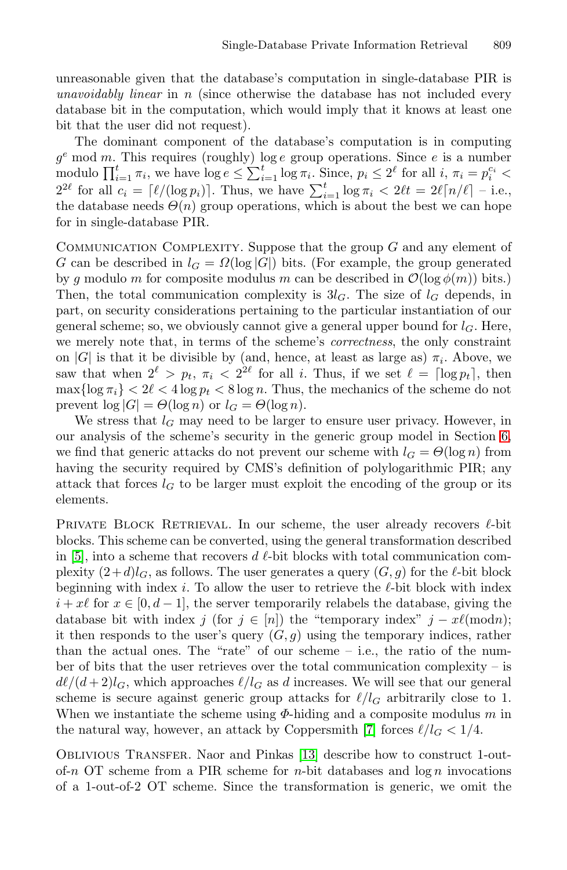unreasonable given that the database's computation in single-database PIR is *unavoidably linear* in n (since otherwise the database has not included every database bit in the computation, which would imply that it knows at least one bit that the user did not request).

The dominant component of the database's computation is in computing  $g^e$  mod m. This requires (roughly) log e group operations. Since e is a number modulo  $\prod_{i=1}^t \pi_i$ , we have  $\log e \leq \sum_{i=1}^t \log \pi_i$ . Since,  $p_i \leq 2^{\ell}$  for all  $i, \pi_i = p_i^{c_i}$  $2^{2\ell}$  for all  $c_i = \lceil \ell/(\log p_i) \rceil$ . Thus, we have  $\sum_{i=1}^t \log \pi_i < 2\ell t = 2\ell \lceil n/\ell \rceil$  - i.e., the database needs  $\Theta(n)$  group operations, which is about the best we can hope for in single-database PIR.

COMMUNICATION COMPLEXITY. Suppose that the group  $G$  and any element of G can be described in  $l_G = \Omega(\log |G|)$  bits. (For example, the group generated by g modulo m for composite modulus m can be described in  $\mathcal{O}(\log \phi(m))$  bits.) Then, the total communication complexity is  $3l_G$ . The size of  $l_G$  depends, in part, on security considerations pertaining to the particular instantiation of our general scheme; so, we obviously cannot give a general upper bound for  $l_G$ . Here, we merely note that, in terms of the scheme's *correctness*, the only constraint on |G| is that it be divisible by (and, hence, at least as large as)  $\pi_i$ . Above, we saw that when  $2^{\ell} > p_t$ ,  $\pi_i < 2^{2\ell}$  for all i. Thus, if we set  $\ell = \lceil \log p_t \rceil$ , then  $\max\{\log \pi_i\} < 2\ell < 4\log p_t < 8\log n$ . Thus, the mechanics of the scheme do not prevent  $\log |G| = \Theta(\log n)$  or  $l_G = \Theta(\log n)$ .

We stress that  $l_G$  may need to be larger to ensure user privacy. However, in our analysis of the scheme's security in the generic group model in Section [6,](#page-9-0) we find that generic attacks do not prevent our scheme with  $l_G = \Theta(\log n)$  from having the security required by CMS's definition of polylogarithmic PIR; any attack that forces  $l_G$  to be larger must exploit the encoding of the group or its elements.

PRIVATE BLOCK RETRIEVAL. In our scheme, the user already recovers  $\ell$ -bit blocks. This scheme can be converted, using the general transformation described in [\[5\]](#page-11-1), into a scheme that recovers d  $\ell$ -bit blocks with total communication complexity  $(2+d)l_G$ , as follows. The user generates a query  $(G, g)$  for the  $\ell$ -bit block beginning with index i. To allow the user to retrieve the  $\ell$ -bit block with index  $i + x\ell$  for  $x \in [0, d-1]$ , the server temporarily relabels the database, giving the database bit with index j (for  $j \in [n]$ ) the "temporary index"  $j - x\ell \pmod{n}$ ; it then responds to the user's query  $(G, g)$  using the temporary indices, rather than the actual ones. The "rate" of our scheme – i.e., the ratio of the number of bits that the user retrieves over the total communication complexity – is  $d\ell/(d+2)l_G$ , which approaches  $\ell/l_G$  as d increases. We will see that our general scheme is secure against generic group attacks for  $\ell/l_G$  arbitrarily close to 1. When we instantiate the scheme using  $\Phi$ -hiding and a composite modulus m in the natural way, however, an attack by Coppersmith [\[7\]](#page-11-6) forces  $\ell/l_G < 1/4$ .

Oblivious Transfer. Naor and Pinkas [\[13\]](#page-12-3) describe how to construct 1-outof-n OT scheme from a PIR scheme for n-bit databases and  $\log n$  invocations of a 1-out-of-2 OT scheme. Since the transformation is generic, we omit the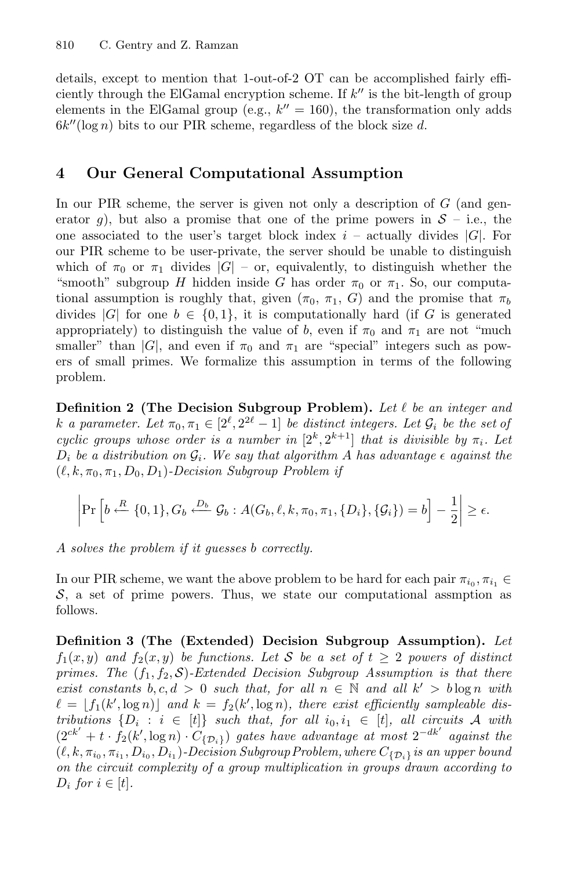details, except to mention that 1-out-of-2 OT can be accomplished fairly efficiently through the ElGamal encryption scheme. If  $k''$  is the bit-length of group elements in the ElGamal group (e.g.,  $k'' = 160$ ), the transformation only adds  $6k''(\log n)$  bits to our PIR scheme, regardless of the block size d.

# **4 Our General Computational Assumption**

In our PIR scheme, the server is given not only a description of  $G$  (and generator g), but also a promise that one of the prime powers in  $S$  – i.e., the one associated to the user's target block index  $i$  – actually divides |G|. For our PIR scheme to be user-private, the server should be unable to distinguish which of  $\pi_0$  or  $\pi_1$  divides  $|G|$  – or, equivalently, to distinguish whether the "smooth" subgroup H hidden inside G has order  $\pi_0$  or  $\pi_1$ . So, our computational assumption is roughly that, given  $(\pi_0, \pi_1, G)$  and the promise that  $\pi_b$ divides  $|G|$  for one  $b \in \{0,1\}$ , it is computationally hard (if G is generated appropriately) to distinguish the value of b, even if  $\pi_0$  and  $\pi_1$  are not "much smaller" than |G|, and even if  $\pi_0$  and  $\pi_1$  are "special" integers such as powers of small primes. We formalize this assumption in terms of the following problem.

**Definition 2 (The Decision Subgroup Problem).** *Let be an integer and* k *a parameter.* Let  $\pi_0, \pi_1 \in [2^{\ell}, 2^{2\ell} - 1]$  *be distinct integers. Let*  $\mathcal{G}_i$  *be the set of cyclic groups whose order is a number in*  $[2^k, 2^{k+1}]$  *that is divisible by*  $\pi_i$ *. Let*  $D_i$  be a distribution on  $\mathcal{G}_i$ . We say that algorithm A has advantage  $\epsilon$  against the  $(\ell, k, \pi_0, \pi_1, D_0, D_1)$ *-Decision Subgroup Problem if* 

$$
\left|\Pr\left[b \stackrel{R}{\leftarrow} \{0,1\}, G_b \stackrel{D_b}{\leftarrow} \mathcal{G}_b : A(G_b,\ell,k,\pi_0,\pi_1,\{D_i\},\{\mathcal{G}_i\}) = b\right] - \frac{1}{2}\right| \ge \epsilon.
$$

A *solves the problem if it guesses* b *correctly.*

In our PIR scheme, we want the above problem to be hard for each pair  $\pi_{i_0}, \pi_{i_1} \in$  $\mathcal{S}$ , a set of prime powers. Thus, we state our computational assmption as follows.

**Definition 3 (The (Extended) Decision Subgroup Assumption).** *Let*  $f_1(x, y)$  and  $f_2(x, y)$  be functions. Let S be a set of  $t \geq 2$  powers of distinct *primes. The*  $(f_1, f_2, S)$ *-Extended Decision Subgroup Assumption is that there exist constants*  $b, c, d > 0$  *such that, for all*  $n \in \mathbb{N}$  *and all*  $k' > b \log n$  *with*  $\ell = \lfloor f_1(k', \log n) \rfloor$  and  $k = f_2(k', \log n)$ , there exist efficiently sampleable dis*tributions*  $\{D_i : i \in [t]\}$  *such that, for all*  $i_0, i_1 \in [t]$ *, all circuits* A *with*  $(2^{ck'}+t\cdot f_2(k',\log n)\cdot C_{\{\mathcal{D}_i\}})$  gates have advantage at most  $2^{-dk'}$  against the  $(\ell, k, \pi_{i_0}, \pi_{i_1}, D_{i_0}, D_{i_1})$ -Decision Subgroup Problem, where  $C_{\{\mathcal{D}_i\}}$  is an upper bound *on the circuit complexity of a group multiplication in groups drawn according to*  $D_i$  *for*  $i \in [t]$ *.*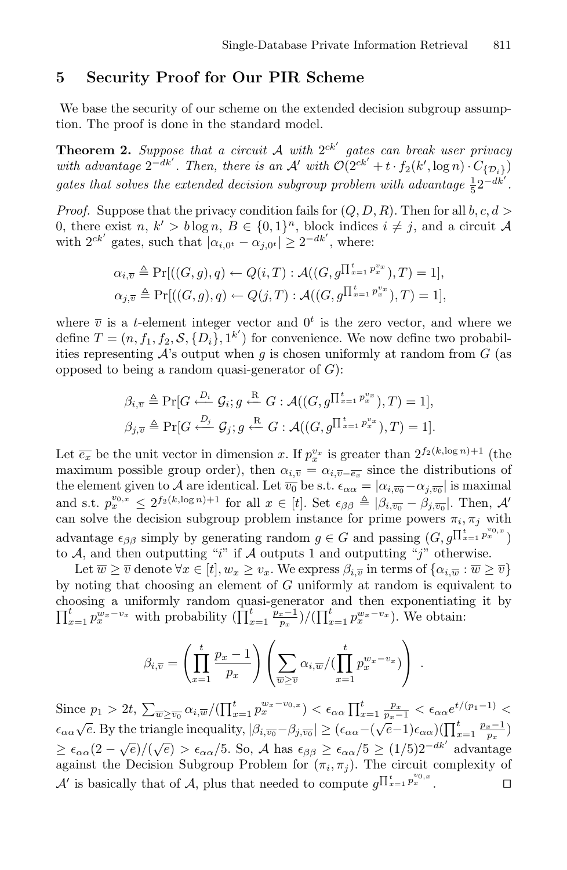#### **5 Security Proof for Our PIR Scheme**

We base the security of our scheme on the extended decision subgroup assumption. The proof is done in the standard model.

**Theorem 2.** Suppose that a circuit A with  $2^{ck'}$  gates can break user privacy *with advantage*  $2^{-dk'}$ . *Then, there is an* A' *with*  $\mathcal{O}(2^{ck'} + t \cdot f_2(k', \log n) \cdot C_{\{\mathcal{D}_i\}})$ gates that solves the extended decision subgroup problem with advantage  $\frac{1}{5}2^{-dk'}$ .

*Proof.* Suppose that the privacy condition fails for  $(Q, D, R)$ . Then for all  $b, c, d$ 0, there exist  $n, k' > b \log n, B \in \{0,1\}^n$ , block indices  $i \neq j$ , and a circuit A with  $2^{ck'}$  gates, such that  $|\alpha_{i,0} - \alpha_{j,0} \cdot| \geq 2^{-dk'}$ , where:

$$
\alpha_{i,\overline{v}} \triangleq \Pr[((G,g),q) \leftarrow Q(i,T) : \mathcal{A}((G,g^{\prod_{x=1}^t p_x^{v_x}}), T) = 1],
$$
  

$$
\alpha_{j,\overline{v}} \triangleq \Pr[((G,g),q) \leftarrow Q(j,T) : \mathcal{A}((G,g^{\prod_{x=1}^t p_x^{v_x}}), T) = 1],
$$

where  $\overline{v}$  is a t-element integer vector and  $0^t$  is the zero vector, and where we define  $T = (n, f_1, f_2, S, \{D_i\}, 1^{k'})$  for convenience. We now define two probabilities representing  $\mathcal{A}$ 's output when g is chosen uniformly at random from G (as opposed to being a random quasi-generator of  $G$ :

$$
\beta_{i,\overline{v}} \triangleq \Pr[G \stackrel{D_i}{\longleftarrow} \mathcal{G}_i; g \stackrel{\text{R}}{\longleftarrow} G : \mathcal{A}((G, g^{\prod_{x=1}^t p_x^{v_x}}), T) = 1],
$$
  

$$
\beta_{j,\overline{v}} \triangleq \Pr[G \stackrel{D_j}{\longleftarrow} \mathcal{G}_j; g \stackrel{\text{R}}{\longleftarrow} G : \mathcal{A}((G, g^{\prod_{x=1}^t p_x^{v_x}}), T) = 1].
$$

Let  $\overline{e_x}$  be the unit vector in dimension x. If  $p_x^{v_x}$  is greater than  $2^{f_2(k,\log n)+1}$  (the maximum possible group order), then  $\alpha_{i,\overline{v}} = \alpha_{i,\overline{v}-\overline{e_{x}}}$  since the distributions of the element given to A are identical. Let  $\overline{v_0}$  be s.t.  $\epsilon_{\alpha\alpha} = |\alpha_{i,\overline{v_0}} - \alpha_{j,\overline{v_0}}|$  is maximal and s.t.  $p_x^{v_{0,x}} \leq 2^{f_2(k,\log n)+1}$  for all  $x \in [t]$ . Set  $\epsilon_{\beta\beta} \triangleq |\beta_{i,\overline{v_0}} - \beta_{j,\overline{v_0}}|$ . Then, A' can solve the decision subgroup problem instance for prime powers  $\pi_i, \pi_j$  with advantage  $\epsilon_{\beta\beta}$  simply by generating random  $g \in G$  and passing  $(G, g^{\prod_{x=1}^{t} p_x^{v_{0,x}}})$ to A, and then outputting "i" if A outputs 1 and outputting "j" otherwise.

Let  $\overline{w} \geq \overline{v}$  denote  $\forall x \in [t], w_x \geq v_x$ . We express  $\beta_{i,\overline{v}}$  in terms of  $\{\alpha_{i,\overline{w}} : \overline{w} \geq \overline{v}\}\$ by noting that choosing an element of  $G$  uniformly at random is equivalent to choosing a uniformly random quasi-generator and then exponentiating it by  $\prod_{x=1}^t p_x^{w_x-v_x}$  with probability  $(\prod_{x=1}^t \frac{p_x-1}{p_x})/(\prod_{x=1}^t p_x^{w_x-v_x})$ . We obtain:

$$
\beta_{i,\overline{v}} = \left(\prod_{x=1}^t \frac{p_x - 1}{p_x}\right) \left(\sum_{\overline{w} \geq \overline{v}} \alpha_{i,\overline{w}} / (\prod_{x=1}^t p_x^{w_x - v_x})\right) .
$$

Since  $p_1 > 2t$ ,  $\sum_{\overline{w} \geq \overline{v_0}} \alpha_{i,\overline{w}} / (\prod_{x=1}^t p_x^{w_x - v_{0,x}}) < \epsilon_{\alpha \alpha} \prod_{x=1}^t \frac{p_x}{p_x - 1} < \epsilon_{\alpha \alpha} e^{t/(p_1 - 1)}$  $\epsilon_{\alpha\alpha}\sqrt{e}$ . By the triangle inequality,  $|\beta_{i,\overline{v_0}}-\beta_{j,\overline{v_0}}| \geq (\epsilon_{\alpha\alpha}-(\sqrt{e}-1)\epsilon_{\alpha\alpha})(\prod_{x=1}^t \frac{p_x-1}{p_x})$  $\geq \epsilon_{\alpha\alpha}(2-\sqrt{e})/(\sqrt{e}) > \epsilon_{\alpha\alpha}/5$ . So, A has  $\epsilon_{\beta\beta} \geq \epsilon_{\alpha\alpha}/5 \geq (1/5)2^{-dk'}$  advantage against the Decision Subgroup Problem for  $(\pi_i, \pi_j)$ . The circuit complexity of A' is basically that of A, plus that needed to compute  $g^{\prod_{x=1}^{t} p_x^{v_{0,x}}}$ .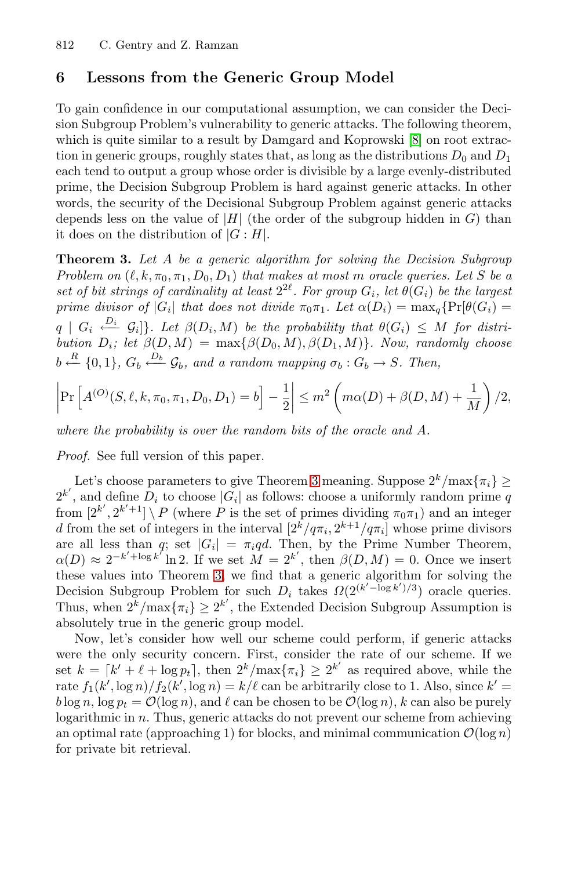# <span id="page-9-0"></span>**6 Lessons from the Generic Group Model**

To gain confidence in our computational assumption, we can consider the Decision Subgroup Problem's vulnerability to generic attacks. The following theorem, which is quite similar to a result by Damgard and Koprowski  $[8]$  on root extraction in generic groups, roughly states that, as long as the distributions  $D_0$  and  $D_1$ each tend to output a group whose order is divisible by a large evenly-distributed prime, the Decision Subgroup Problem is hard against generic attacks. In other words, the security of the Decisional Subgroup Problem against generic attacks depends less on the value of  $|H|$  (the order of the subgroup hidden in G) than it does on the distribution of  $|G:H|$ .

<span id="page-9-1"></span>**Theorem 3.** *Let* A *be a generic algorithm for solving the Decision Subgroup Problem on*  $(\ell, k, \pi_0, \pi_1, D_0, D_1)$  *that makes at most m oracle queries. Let* S *be a set of bit strings of cardinality at least*  $2^{2\ell}$ *. For group*  $G_i$ *, let*  $\theta(G_i)$  *be the largest prime divisor of*  $|G_i|$  *that does not divide*  $\pi_0 \pi_1$ *. Let*  $\alpha(D_i) = \max_q \{ \Pr[\theta(G_i) =$  $q \mid G_i \stackrel{D_i}{\longleftarrow} G_i$  |  $S_i$  |  $S_i$  |  $S_i$  |  $S_j$  |  $S_j$  |  $S_j$  |  $S_j$  |  $S_j$  |  $S_j$  |  $S_j$  |  $S_j$  |  $S_j$  |  $S_j$  |  $S_j$  |  $S_j$  |  $S_j$  |  $S_j$  |  $S_j$  |  $S_j$  |  $S_j$  |  $S_j$  |  $S_j$  |  $S_j$  |  $S_j$  |  $S_j$  |  $S_j$  |  $S_j$  |  $S_j$  | *bution*  $D_i$ *; let*  $\beta(D, M) = \max{\beta(D_0, M), \beta(D_1, M)}$ *. Now, randomly choose*  $b \stackrel{R}{\leftarrow} \{0,1\}$ ,  $G_b \stackrel{D_b}{\leftarrow} \mathcal{G}_b$ , and a random mapping  $\sigma_b : G_b \to S$ . Then,

$$
\left| \Pr \left[ A^{(O)}(S, \ell, k, \pi_0, \pi_1, D_0, D_1) = b \right] - \frac{1}{2} \right| \le m^2 \left( m\alpha(D) + \beta(D, M) + \frac{1}{M} \right) / 2,
$$

*where the probability is over the random bits of the oracle and* A*.*

*Proof.* See full version of this paper.

Let's choose parameters to give Theorem [3](#page-9-1) meaning. Suppose  $2^k / \max\{\pi_i\} \ge$  $2^{k'}$ , and define  $D_i$  to choose  $|G_i|$  as follows: choose a uniformly random prime q from  $[2^{k'}, 2^{k'+1}] \setminus P$  (where P is the set of primes dividing  $\pi_0 \pi_1$ ) and an integer d from the set of integers in the interval  $[2^k/q\pi_i, 2^{k+1}/q\pi_i]$  whose prime divisors are all less than q; set  $|G_i| = \pi_i q d$ . Then, by the Prime Number Theorem,  $\alpha(D) \approx 2^{-k'+\log k'} \ln 2$ . If we set  $M = 2^{k'}$ , then  $\beta(D,M) = 0$ . Once we insert these values into Theorem [3,](#page-9-1) we find that a generic algorithm for solving the Decision Subgroup Problem for such  $D_i$  takes  $\Omega(2^{(k'-\log k')/3})$  oracle queries. Thus, when  $2^k / \max\{\pi_i\} \geq 2^{k'}$ , the Extended Decision Subgroup Assumption is absolutely true in the generic group model.

Now, let's consider how well our scheme could perform, if generic attacks were the only security concern. First, consider the rate of our scheme. If we set  $k = \lceil k' + \ell + \log p_t \rceil$ , then  $2^k / \max\{\pi_i\} \geq 2^{k'}$  as required above, while the rate  $f_1(k', \log n)/f_2(k', \log n) = k/\ell$  can be arbitrarily close to 1. Also, since  $k' =$  $b \log n$ ,  $\log p_t = \mathcal{O}(\log n)$ , and  $\ell$  can be chosen to be  $\mathcal{O}(\log n)$ , k can also be purely logarithmic in n. Thus, generic attacks do not prevent our scheme from achieving an optimal rate (approaching 1) for blocks, and minimal communication  $\mathcal{O}(\log n)$ for private bit retrieval.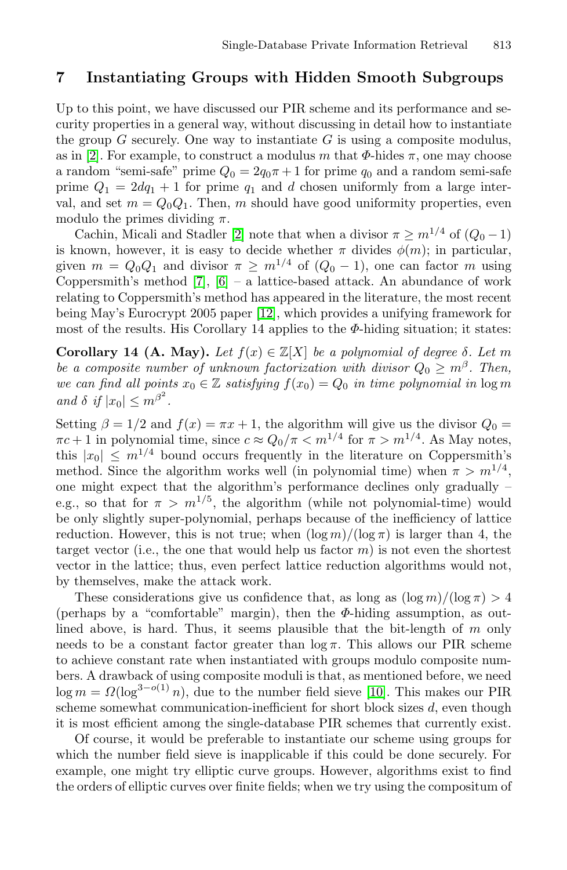### **7 Instantiating Groups with Hidden Smooth Subgroups**

Up to this point, we have discussed our PIR scheme and its performance and security properties in a general way, without discussing in detail how to instantiate the group  $G$  securely. One way to instantiate  $G$  is using a composite modulus, as in [\[2\]](#page-11-0). For example, to construct a modulus m that  $\Phi$ -hides  $\pi$ , one may choose a random "semi-safe" prime  $Q_0 = 2q_0\pi + 1$  for prime  $q_0$  and a random semi-safe prime  $Q_1 = 2dq_1 + 1$  for prime  $q_1$  and d chosen uniformly from a large interval, and set  $m = Q_0 Q_1$ . Then, m should have good uniformity properties, even modulo the primes dividing  $\pi$ .

Cachin, Micali and Stadler [\[2\]](#page-11-0) note that when a divisor  $\pi \geq m^{1/4}$  of  $(Q_0 - 1)$ is known, however, it is easy to decide whether  $\pi$  divides  $\phi(m)$ ; in particular, given  $m = Q_0 Q_1$  and divisor  $\pi \geq m^{1/4}$  of  $(Q_0 - 1)$ , one can factor m using Coppersmith's method  $[7]$ ,  $[6]$  – a lattice-based attack. An abundance of work relating to Coppersmith's method has appeared in the literature, the most recent being May's Eurocrypt 2005 paper [\[12\]](#page-12-5), which provides a unifying framework for most of the results. His Corollary 14 applies to the  $\Phi$ -hiding situation; it states:

**Corollary 14 (A. May).** *Let*  $f(x) \in \mathbb{Z}[X]$  *be a polynomial of degree*  $\delta$ *. Let* m *be a composite number of unknown factorization with divisor*  $Q_0 \geq m^{\beta}$ . Then, *we can find all points*  $x_0 \in \mathbb{Z}$  *satisfying*  $f(x_0) = Q_0$  *in time polynomial in*  $\log m$ *and*  $\delta$  *if*  $|x_0| \leq m^{\beta^2}$ *.* 

Setting  $\beta = 1/2$  and  $f(x) = \pi x + 1$ , the algorithm will give us the divisor  $Q_0 =$  $\pi c + 1$  in polynomial time, since  $c \approx Q_0/\pi < m^{1/4}$  for  $\pi > m^{1/4}$ . As May notes, this  $|x_0| \leq m^{1/4}$  bound occurs frequently in the literature on Coppersmith's method. Since the algorithm works well (in polynomial time) when  $\pi > m^{1/4}$ , one might expect that the algorithm's performance declines only gradually – e.g., so that for  $\pi > m^{1/5}$ , the algorithm (while not polynomial-time) would be only slightly super-polynomial, perhaps because of the inefficiency of lattice reduction. However, this is not true; when  $(\log m)/(\log \pi)$  is larger than 4, the target vector (i.e., the one that would help us factor  $m$ ) is not even the shortest vector in the lattice; thus, even perfect lattice reduction algorithms would not, by themselves, make the attack work.

These considerations give us confidence that, as long as  $(\log m)/(\log \pi) > 4$ (perhaps by a "comfortable" margin), then the  $\Phi$ -hiding assumption, as outlined above, is hard. Thus, it seems plausible that the bit-length of  $m$  only needs to be a constant factor greater than  $\log \pi$ . This allows our PIR scheme to achieve constant rate when instantiated with groups modulo composite numbers. A drawback of using composite moduli is that, as mentioned before, we need  $\log m = \Omega(\log^{3-o(1)} n)$ , due to the number field sieve [\[10\]](#page-11-4). This makes our PIR scheme somewhat communication-inefficient for short block sizes  $d$ , even though it is most efficient among the single-database PIR schemes that currently exist.

Of course, it would be preferable to instantiate our scheme using groups for which the number field sieve is inapplicable if this could be done securely. For example, one might try elliptic curve groups. However, algorithms exist to find the orders of elliptic curves over finite fields; when we try using the compositum of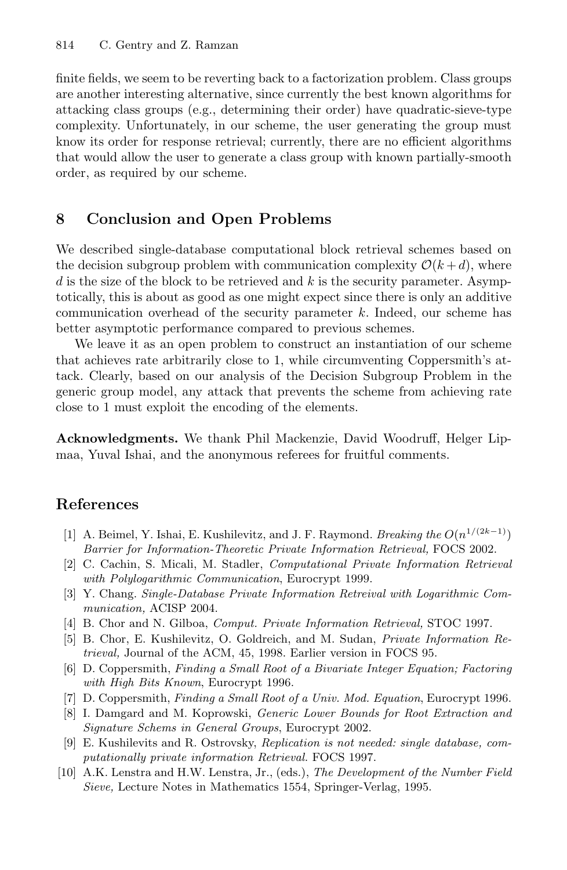finite fields, we seem to be reverting back to a factorization problem. Class groups are another interesting alternative, since currently the best known algorithms for attacking class groups (e.g., determining their order) have quadratic-sieve-type complexity. Unfortunately, in our scheme, the user generating the group must know its order for response retrieval; currently, there are no efficient algorithms that would allow the user to generate a class group with known partially-smooth order, as required by our scheme.

## **8 Conclusion and Open Problems**

We described single-database computational block retrieval schemes based on the decision subgroup problem with communication complexity  $\mathcal{O}(k+d)$ , where  $d$  is the size of the block to be retrieved and k is the security parameter. Asymptotically, this is about as good as one might expect since there is only an additive communication overhead of the security parameter k. Indeed, our scheme has better asymptotic performance compared to previous schemes.

We leave it as an open problem to construct an instantiation of our scheme that achieves rate arbitrarily close to 1, while circumventing Coppersmith's attack. Clearly, based on our analysis of the Decision Subgroup Problem in the generic group model, any attack that prevents the scheme from achieving rate close to 1 must exploit the encoding of the elements.

**Acknowledgments.** We thank Phil Mackenzie, David Woodruff, Helger Lipmaa, Yuval Ishai, and the anonymous referees for fruitful comments.

## <span id="page-11-2"></span>**References**

- [1] A. Beimel, Y. Ishai, E. Kushilevitz, and J. F. Raymond. *Breaking the*  $O(n^{1/(2k-1)})$ Barrier for Information-Theoretic Private Information Retrieval, FOCS 2002.
- <span id="page-11-0"></span>[2] C. Cachin, S. Micali, M. Stadler, Computational Private Information Retrieval with Polylogarithmic Communication, Eurocrypt 1999.
- [3] Y. Chang. Single-Database Private Information Retreival with Logarithmic Communication, ACISP 2004.
- <span id="page-11-3"></span><span id="page-11-1"></span>[4] B. Chor and N. Gilboa, Comput. Private Information Retrieval, STOC 1997.
- [5] B. Chor, E. Kushilevitz, O. Goldreich, and M. Sudan, Private Information Retrieval, Journal of the ACM, 45, 1998. Earlier version in FOCS 95.
- <span id="page-11-5"></span>[6] D. Coppersmith, Finding a Small Root of a Bivariate Integer Equation; Factoring with High Bits Known, Eurocrypt 1996.
- <span id="page-11-7"></span><span id="page-11-6"></span>[7] D. Coppersmith, Finding a Small Root of a Univ. Mod. Equation, Eurocrypt 1996.
- [8] I. Damgard and M. Koprowski, Generic Lower Bounds for Root Extraction and Signature Schems in General Groups, Eurocrypt 2002.
- [9] E. Kushilevits and R. Ostrovsky, Replication is not needed: single database, computationally private information Retrieval. FOCS 1997.
- <span id="page-11-4"></span>[10] A.K. Lenstra and H.W. Lenstra, Jr., (eds.), The Development of the Number Field Sieve, Lecture Notes in Mathematics 1554, Springer-Verlag, 1995.